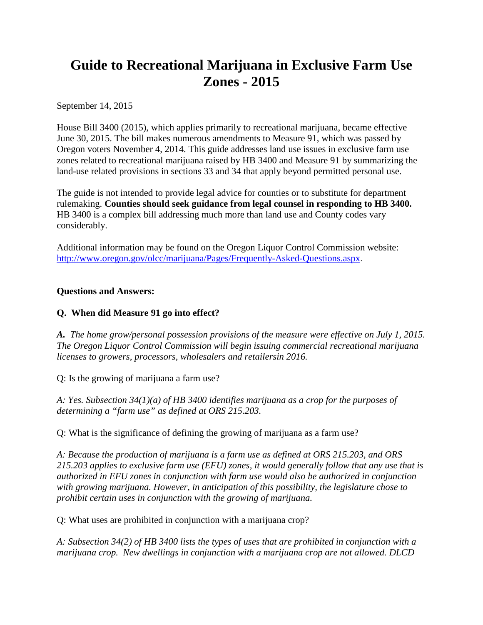## **Guide to Recreational Marijuana in Exclusive Farm Use Zones - 2015**

September 14, 2015

House Bill 3400 (2015), which applies primarily to recreational marijuana, became effective June 30, 2015. The bill makes numerous amendments to Measure 91, which was passed by Oregon voters November 4, 2014. This guide addresses land use issues in exclusive farm use zones related to recreational marijuana raised by HB 3400 and Measure 91 by summarizing the land-use related provisions in sections 33 and 34 that apply beyond permitted personal use.

The guide is not intended to provide legal advice for counties or to substitute for department rulemaking. **Counties should seek guidance from legal counsel in responding to HB 3400.** HB 3400 is a complex bill addressing much more than land use and County codes vary considerably.

Additional information may be found on the Oregon Liquor Control Commission website: <http://www.oregon.gov/olcc/marijuana/Pages/Frequently-Asked-Questions.aspx>.

## **Questions and Answers:**

## **Q. When did Measure 91 go into effect?**

*A. The home grow/personal possession provisions of the measure were effective on July 1, 2015. The Oregon Liquor Control Commission will begin issuing commercial recreational marijuana licenses to growers, processors, wholesalers and retailersin 2016.*

Q: Is the growing of marijuana a farm use?

*A: Yes. Subsection 34(1)(a) of HB 3400 identifies marijuana as a crop for the purposes of determining a "farm use" as defined at ORS 215.203.* 

Q: What is the significance of defining the growing of marijuana as a farm use?

*A: Because the production of marijuana is a farm use as defined at ORS 215.203, and ORS 215.203 applies to exclusive farm use (EFU) zones, it would generally follow that any use that is authorized in EFU zones in conjunction with farm use would also be authorized in conjunction with growing marijuana. However, in anticipation of this possibility, the legislature chose to prohibit certain uses in conjunction with the growing of marijuana.* 

Q: What uses are prohibited in conjunction with a marijuana crop?

*A: Subsection 34(2) of HB 3400 lists the types of uses that are prohibited in conjunction with a marijuana crop. New dwellings in conjunction with a marijuana crop are not allowed. DLCD*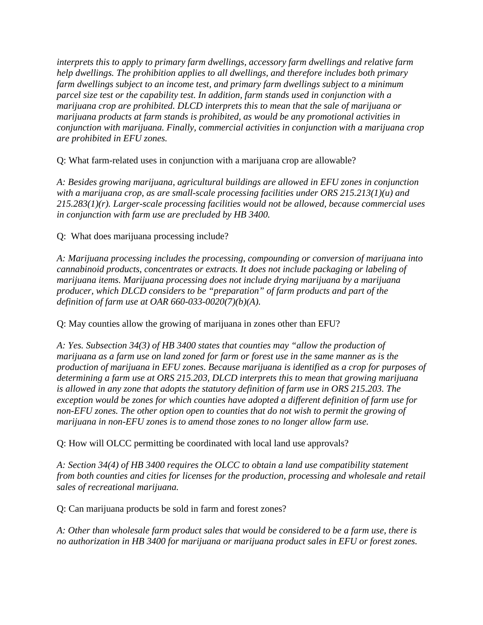*interprets this to apply to primary farm dwellings, accessory farm dwellings and relative farm help dwellings. The prohibition applies to all dwellings, and therefore includes both primary farm dwellings subject to an income test, and primary farm dwellings subject to a minimum parcel size test or the capability test. In addition, farm stands used in conjunction with a marijuana crop are prohibited. DLCD interprets this to mean that the sale of marijuana or marijuana products at farm stands is prohibited, as would be any promotional activities in conjunction with marijuana. Finally, commercial activities in conjunction with a marijuana crop are prohibited in EFU zones.* 

Q: What farm-related uses in conjunction with a marijuana crop are allowable?

*A: Besides growing marijuana, agricultural buildings are allowed in EFU zones in conjunction with a marijuana crop, as are small-scale processing facilities under ORS 215.213(1)(u) and 215.283(1)(r). Larger-scale processing facilities would not be allowed, because commercial uses in conjunction with farm use are precluded by HB 3400.*

Q: What does marijuana processing include?

*A: Marijuana processing includes the processing, compounding or conversion of marijuana into cannabinoid products, concentrates or extracts. It does not include packaging or labeling of marijuana items. Marijuana processing does not include drying marijuana by a marijuana producer, which DLCD considers to be "preparation" of farm products and part of the definition of farm use at OAR 660-033-0020(7)(b)(A).*

Q: May counties allow the growing of marijuana in zones other than EFU?

*A: Yes. Subsection 34(3) of HB 3400 states that counties may "allow the production of marijuana as a farm use on land zoned for farm or forest use in the same manner as is the production of marijuana in EFU zones. Because marijuana is identified as a crop for purposes of determining a farm use at ORS 215.203, DLCD interprets this to mean that growing marijuana is allowed in any zone that adopts the statutory definition of farm use in ORS 215.203. The exception would be zones for which counties have adopted a different definition of farm use for non-EFU zones. The other option open to counties that do not wish to permit the growing of marijuana in non-EFU zones is to amend those zones to no longer allow farm use.*

Q: How will OLCC permitting be coordinated with local land use approvals?

*A: Section 34(4) of HB 3400 requires the OLCC to obtain a land use compatibility statement from both counties and cities for licenses for the production, processing and wholesale and retail sales of recreational marijuana.*

Q: Can marijuana products be sold in farm and forest zones?

*A: Other than wholesale farm product sales that would be considered to be a farm use, there is no authorization in HB 3400 for marijuana or marijuana product sales in EFU or forest zones.*